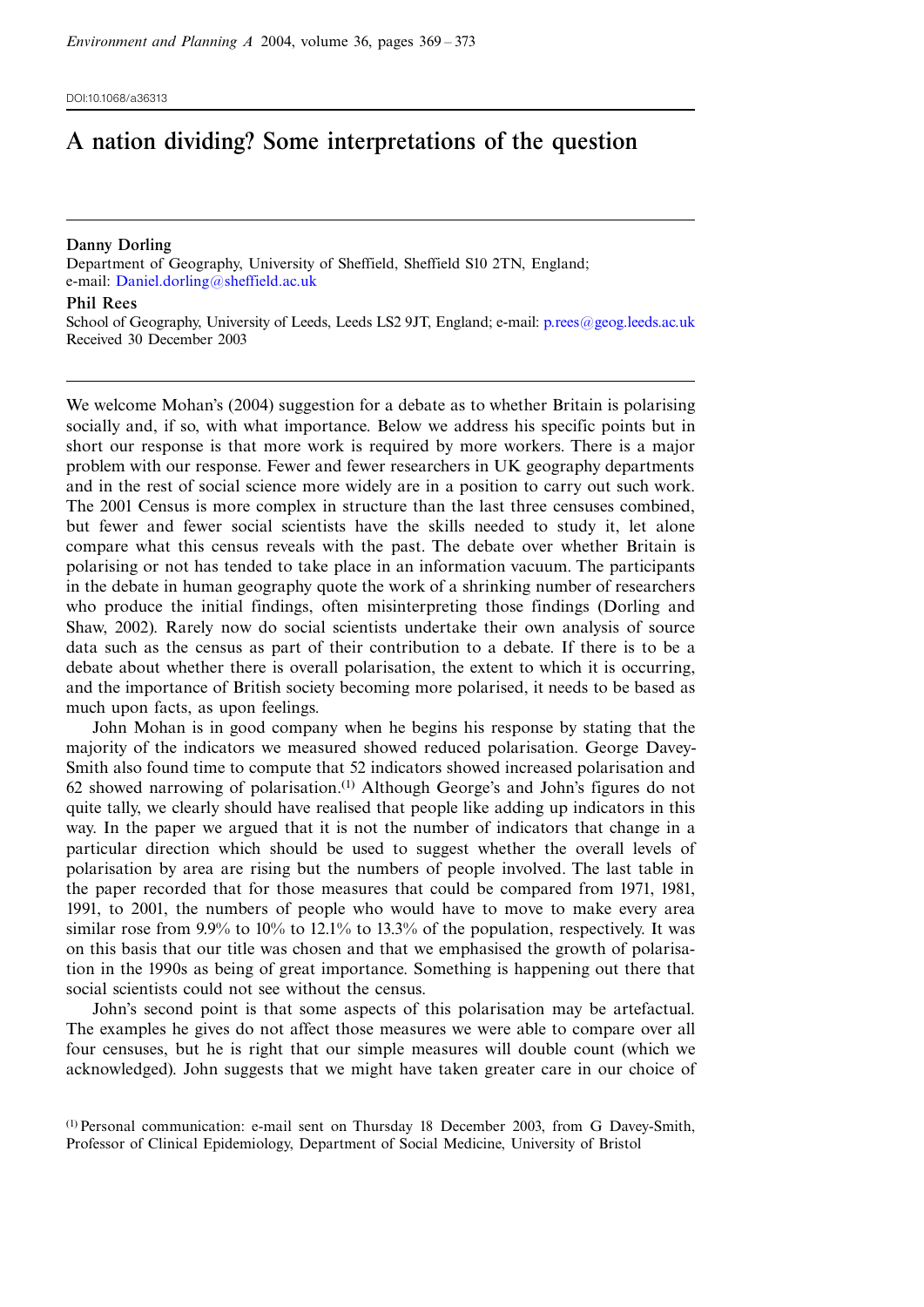## A nation dividing? Some interpretations of the question

## Danny Dorling

Department of Geography, University of Sheffield, Sheffield S10 2TN, England; e-mail: [Daniel.dorling@sheffield.ac.uk](mailto:Daniel.dorling@sheffield.ac.uk)

## Phil Rees

School of Geography, University of Leeds, Leeds LS2 9JT, England; e-mail: [p.rees@geog.leeds.ac.uk](mailto:p.rees@geog.leeds.ac.uk) Received 30 December 2003

We welcome Mohan's (2004) suggestion for a debate as to whether Britain is polarising socially and, if so, with what importance. Below we address his specific points but in short our response is that more work is required by more workers. There is a major problem with our response. Fewer and fewer researchers in UK geography departments and in the rest of social science more widely are in a position to carry out such work. The 2001 Census is more complex in structure than the last three censuses combined, but fewer and fewer social scientists have the skills needed to study it, let alone compare what this census reveals with the past. The debate over whether Britain is polarising or not has tended to take place in an information vacuum. The participants in the debate in human geography quote the work of a shrinking number of researchers who produce the initial findings, often misinterpreting those findings (Dorling and Shaw, 2002). Rarely now do social scientists undertake their own analysis of source data such as the census as part of their contribution to a debate. If there is to be a debate about whether there is overall polarisation, the extent to which it is occurring, and the importance of British society becoming more polarised, it needs to be based as much upon facts, as upon feelings.

John Mohan is in good company when he begins his response by stating that the majority of the indicators we measured showed reduced polarisation. George Davey-Smith also found time to compute that 52 indicators showed increased polarisation and 62 showed narrowing of polarisation.(1) Although George's and John's figures do not quite tally, we clearly should have realised that people like adding up indicators in this way. In the paper we argued that it is not the number of indicators that change in a particular direction which should be used to suggest whether the overall levels of polarisation by area are rising but the numbers of people involved. The last table in the paper recorded that for those measures that could be compared from 1971, 1981, 1991, to 2001, the numbers of people who would have to move to make every area similar rose from 9.9% to 10% to 12.1% to 13.3% of the population, respectively. It was on this basis that our title was chosen and that we emphasised the growth of polarisation in the 1990s as being of great importance. Something is happening out there that social scientists could not see without the census.

John's second point is that some aspects of this polarisation may be artefactual. The examples he gives do not affect those measures we were able to compare over all four censuses, but he is right that our simple measures will double count (which we acknowledged). John suggests that we might have taken greater care in our choice of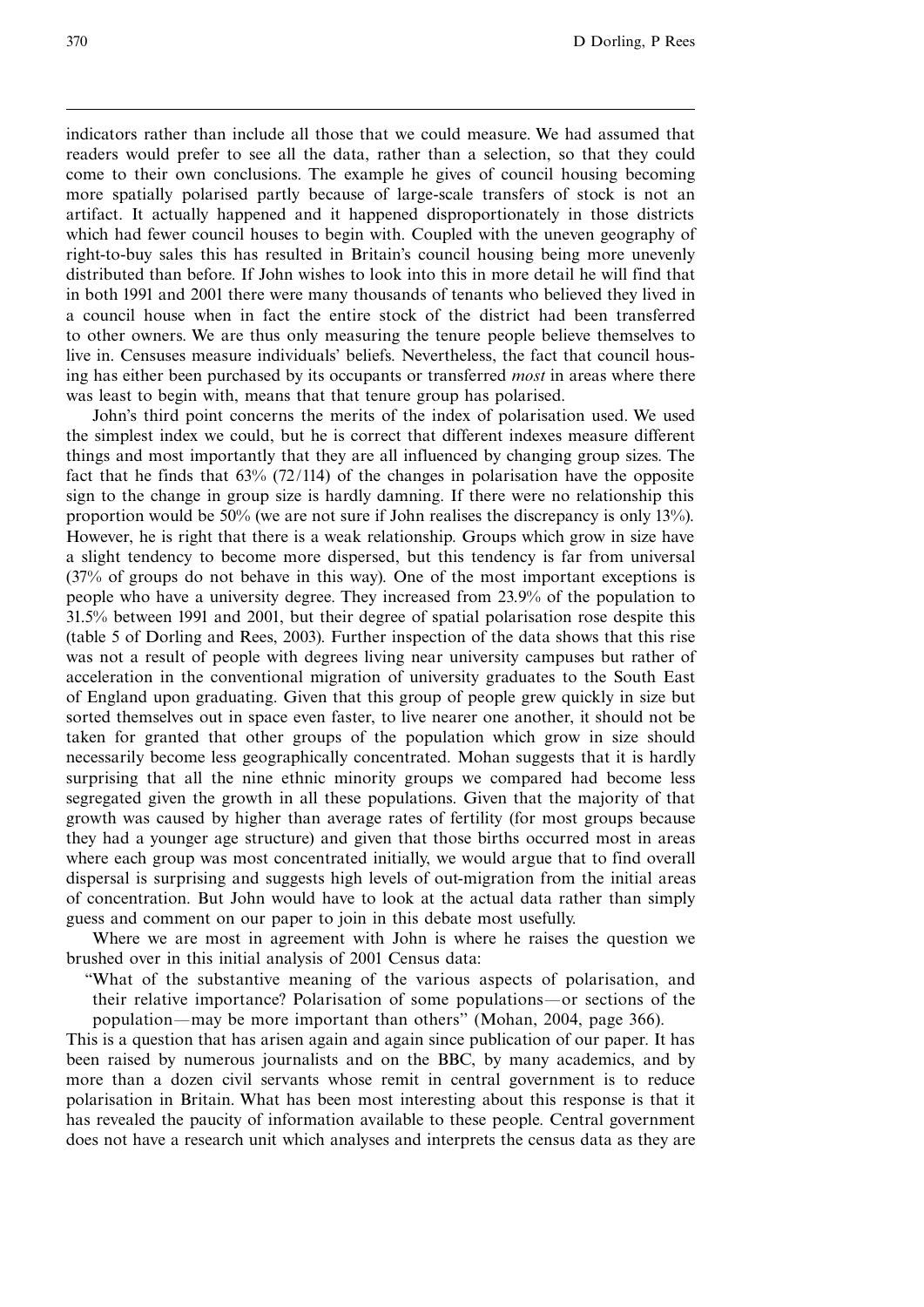indicators rather than include all those that we could measure. We had assumed that readers would prefer to see all the data, rather than a selection, so that they could come to their own conclusions. The example he gives of council housing becoming more spatially polarised partly because of large-scale transfers of stock is not an artifact. It actually happened and it happened disproportionately in those districts which had fewer council houses to begin with. Coupled with the uneven geography of right-to-buy sales this has resulted in Britain's council housing being more unevenly distributed than before. If John wishes to look into this in more detail he will find that in both 1991 and 2001 there were many thousands of tenants who believed they lived in a council house when in fact the entire stock of the district had been transferred to other owners. We are thus only measuring the tenure people believe themselves to live in. Censuses measure individuals' beliefs. Nevertheless, the fact that council housing has either been purchased by its occupants or transferred *most* in areas where there was least to begin with, means that that tenure group has polarised.

John's third point concerns the merits of the index of polarisation used. We used the simplest index we could, but he is correct that different indexes measure different things and most importantly that they are all influenced by changing group sizes. The fact that he finds that  $63\%$  (72/114) of the changes in polarisation have the opposite sign to the change in group size is hardly damning. If there were no relationship this proportion would be 50% (we are not sure if John realises the discrepancy is only 13%). However, he is right that there is a weak relationship. Groups which grow in size have a slight tendency to become more dispersed, but this tendency is far from universal (37% of groups do not behave in this way). One of the most important exceptions is people who have a university degree. They increased from 23.9% of the population to 31.5% between 1991 and 2001, but their degree of spatial polarisation rose despite this (table 5 of Dorling and Rees, 2003). Further inspection of the data shows that this rise was not a result of people with degrees living near university campuses but rather of acceleration in the conventional migration of university graduates to the South East of England upon graduating. Given that this group of people grew quickly in size but sorted themselves out in space even faster, to live nearer one another, it should not be taken for granted that other groups of the population which grow in size should necessarily become less geographically concentrated. Mohan suggests that it is hardly surprising that all the nine ethnic minority groups we compared had become less segregated given the growth in all these populations. Given that the majority of that growth was caused by higher than average rates of fertility (for most groups because they had a younger age structure) and given that those births occurred most in areas where each group was most concentrated initially, we would argue that to find overall dispersal is surprising and suggests high levels of out-migration from the initial areas of concentration. But John would have to look at the actual data rather than simply guess and comment on our paper to join in this debate most usefully.

Where we are most in agreement with John is where he raises the question we brushed over in this initial analysis of 2001 Census data:

``What of the substantive meaning of the various aspects of polarisation, and their relative importance? Polarisation of some populations—or sections of the population—may be more important than others'' (Mohan, 2004, page 366).

This is a question that has arisen again and again since publication of our paper. It has been raised by numerous journalists and on the BBC, by many academics, and by more than a dozen civil servants whose remit in central government is to reduce polarisation in Britain. What has been most interesting about this response is that it has revealed the paucity of information available to these people. Central government does not have a research unit which analyses and interprets the census data as they are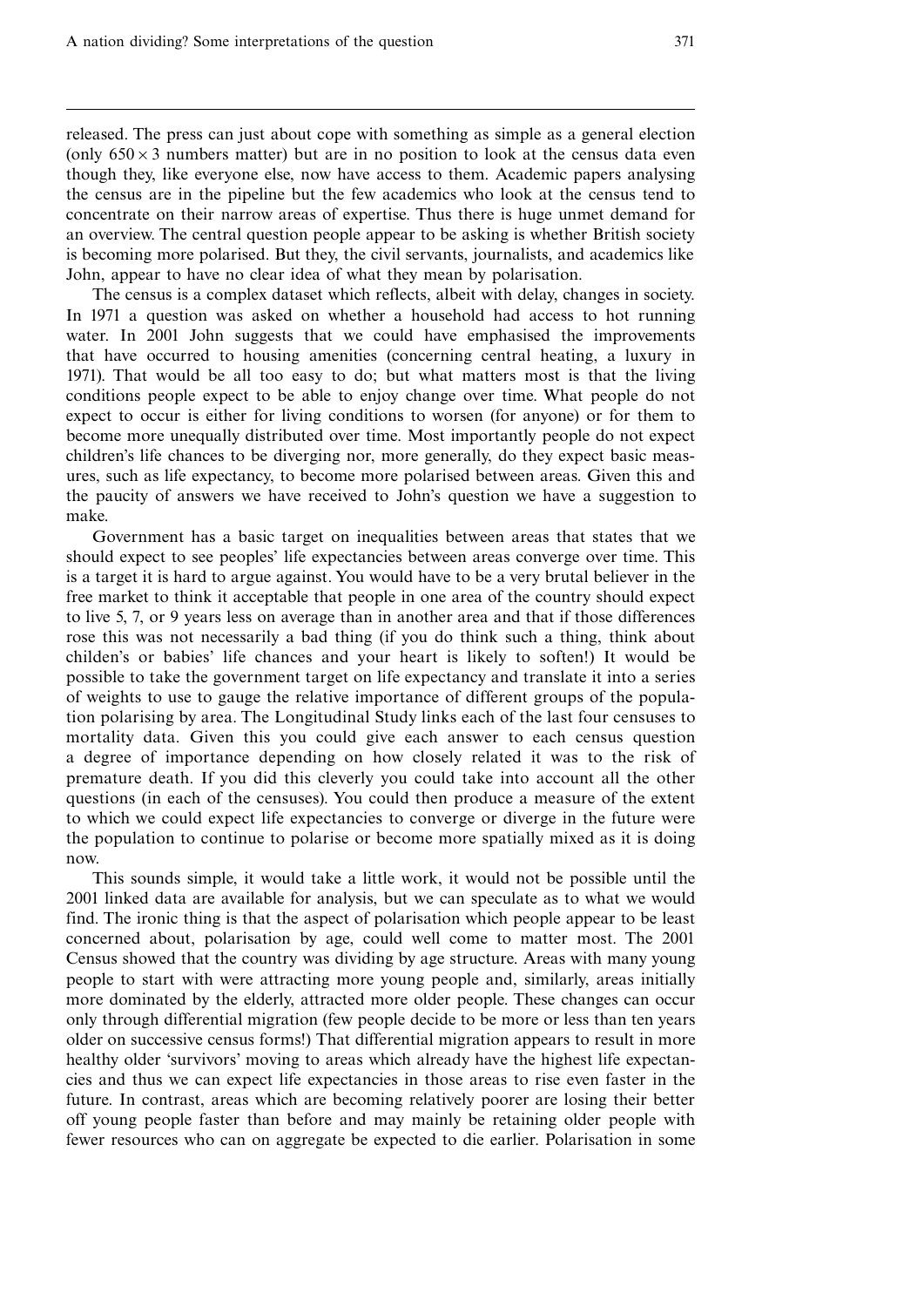released. The press can just about cope with something as simple as a general election (only  $650 \times 3$  numbers matter) but are in no position to look at the census data even though they, like everyone else, now have access to them. Academic papers analysing the census are in the pipeline but the few academics who look at the census tend to concentrate on their narrow areas of expertise. Thus there is huge unmet demand for an overview. The central question people appear to be asking is whether British society is becoming more polarised. But they, the civil servants, journalists, and academics like John, appear to have no clear idea of what they mean by polarisation.

The census is a complex dataset which reflects, albeit with delay, changes in society. In 1971 a question was asked on whether a household had access to hot running water. In 2001 John suggests that we could have emphasised the improvements that have occurred to housing amenities (concerning central heating, a luxury in 1971). That would be all too easy to do; but what matters most is that the living conditions people expect to be able to enjoy change over time. What people do not expect to occur is either for living conditions to worsen (for anyone) or for them to become more unequally distributed over time. Most importantly people do not expect children's life chances to be diverging nor, more generally, do they expect basic measures, such as life expectancy, to become more polarised between areas. Given this and the paucity of answers we have received to John's question we have a suggestion to make.

Government has a basic target on inequalities between areas that states that we should expect to see peoples' life expectancies between areas converge over time. This is a target it is hard to argue against. You would have to be a very brutal believer in the free market to think it acceptable that people in one area of the country should expect to live 5, 7, or 9 years less on average than in another area and that if those differences rose this was not necessarily a bad thing (if you do think such a thing, think about childen's or babies' life chances and your heart is likely to soften!) It would be possible to take the government target on life expectancy and translate it into a series of weights to use to gauge the relative importance of different groups of the population polarising by area. The Longitudinal Study links each of the last four censuses to mortality data. Given this you could give each answer to each census question a degree of importance depending on how closely related it was to the risk of premature death. If you did this cleverly you could take into account all the other questions (in each of the censuses). You could then produce a measure of the extent to which we could expect life expectancies to converge or diverge in the future were the population to continue to polarise or become more spatially mixed as it is doing now.

This sounds simple, it would take a little work, it would not be possible until the 2001 linked data are available for analysis, but we can speculate as to what we would find. The ironic thing is that the aspect of polarisation which people appear to be least concerned about, polarisation by age, could well come to matter most. The 2001 Census showed that the country was dividing by age structure. Areas with many young people to start with were attracting more young people and, similarly, areas initially more dominated by the elderly, attracted more older people. These changes can occur only through differential migration (few people decide to be more or less than ten years older on successive census forms!) That differential migration appears to result in more healthy older 'survivors' moving to areas which already have the highest life expectancies and thus we can expect life expectancies in those areas to rise even faster in the future. In contrast, areas which are becoming relatively poorer are losing their better off young people faster than before and may mainly be retaining older people with fewer resources who can on aggregate be expected to die earlier. Polarisation in some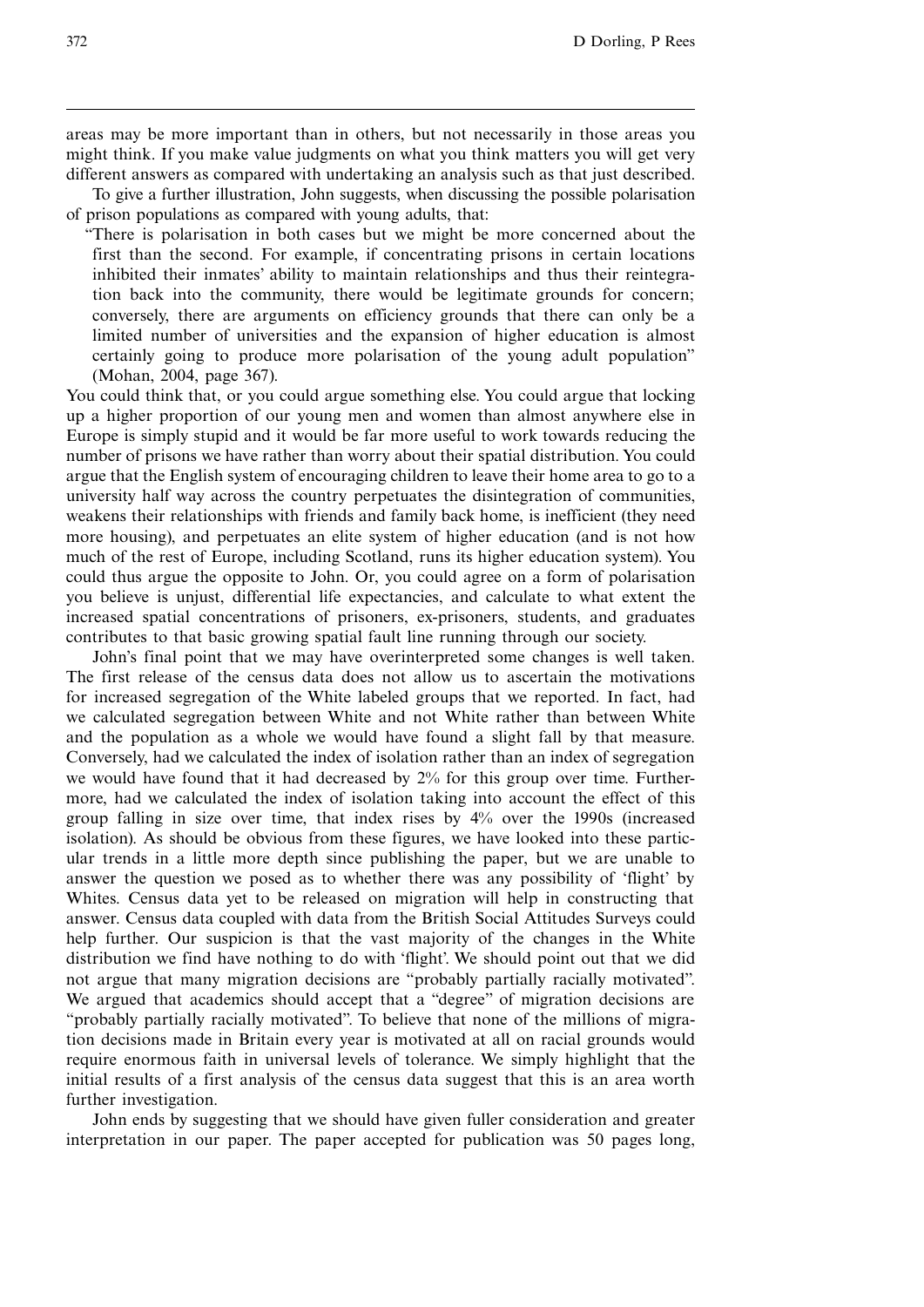areas may be more important than in others, but not necessarily in those areas you might think. If you make value judgments on what you think matters you will get very different answers as compared with undertaking an analysis such as that just described.

To give a further illustration, John suggests, when discussing the possible polarisation of prison populations as compared with young adults, that:

``There is polarisation in both cases but we might be more concerned about the first than the second. For example, if concentrating prisons in certain locations inhibited their inmates' ability to maintain relationships and thus their reintegration back into the community, there would be legitimate grounds for concern; conversely, there are arguments on efficiency grounds that there can only be a limited number of universities and the expansion of higher education is almost certainly going to produce more polarisation of the young adult population'' (Mohan, 2004, page 367).

You could think that, or you could argue something else. You could argue that locking up a higher proportion of our young men and women than almost anywhere else in Europe is simply stupid and it would be far more useful to work towards reducing the number of prisons we have rather than worry about their spatial distribution. You could argue that the English system of encouraging children to leave their home area to go to a university half way across the country perpetuates the disintegration of communities, weakens their relationships with friends and family back home, is inefficient (they need more housing), and perpetuates an elite system of higher education (and is not how much of the rest of Europe, including Scotland, runs its higher education system). You could thus argue the opposite to John. Or, you could agree on a form of polarisation you believe is unjust, differential life expectancies, and calculate to what extent the increased spatial concentrations of prisoners, ex-prisoners, students, and graduates contributes to that basic growing spatial fault line running through our society.

John's final point that we may have overinterpreted some changes is well taken. The first release of the census data does not allow us to ascertain the motivations for increased segregation of the White labeled groups that we reported. In fact, had we calculated segregation between White and not White rather than between White and the population as a whole we would have found a slight fall by that measure. Conversely, had we calculated the index of isolation rather than an index of segregation we would have found that it had decreased by 2% for this group over time. Furthermore, had we calculated the index of isolation taking into account the effect of this group falling in size over time, that index rises by 4% over the 1990s (increased isolation). As should be obvious from these figures, we have looked into these particular trends in a little more depth since publishing the paper, but we are unable to answer the question we posed as to whether there was any possibility of `flight' by Whites. Census data yet to be released on migration will help in constructing that answer. Census data coupled with data from the British Social Attitudes Surveys could help further. Our suspicion is that the vast majority of the changes in the White distribution we find have nothing to do with `flight'. We should point out that we did not argue that many migration decisions are "probably partially racially motivated". We argued that academics should accept that a "degree" of migration decisions are ``probably partially racially motivated''. To believe that none of the millions of migration decisions made in Britain every year is motivated at all on racial grounds would require enormous faith in universal levels of tolerance. We simply highlight that the initial results of a first analysis of the census data suggest that this is an area worth further investigation.

John ends by suggesting that we should have given fuller consideration and greater interpretation in our paper. The paper accepted for publication was 50 pages long,